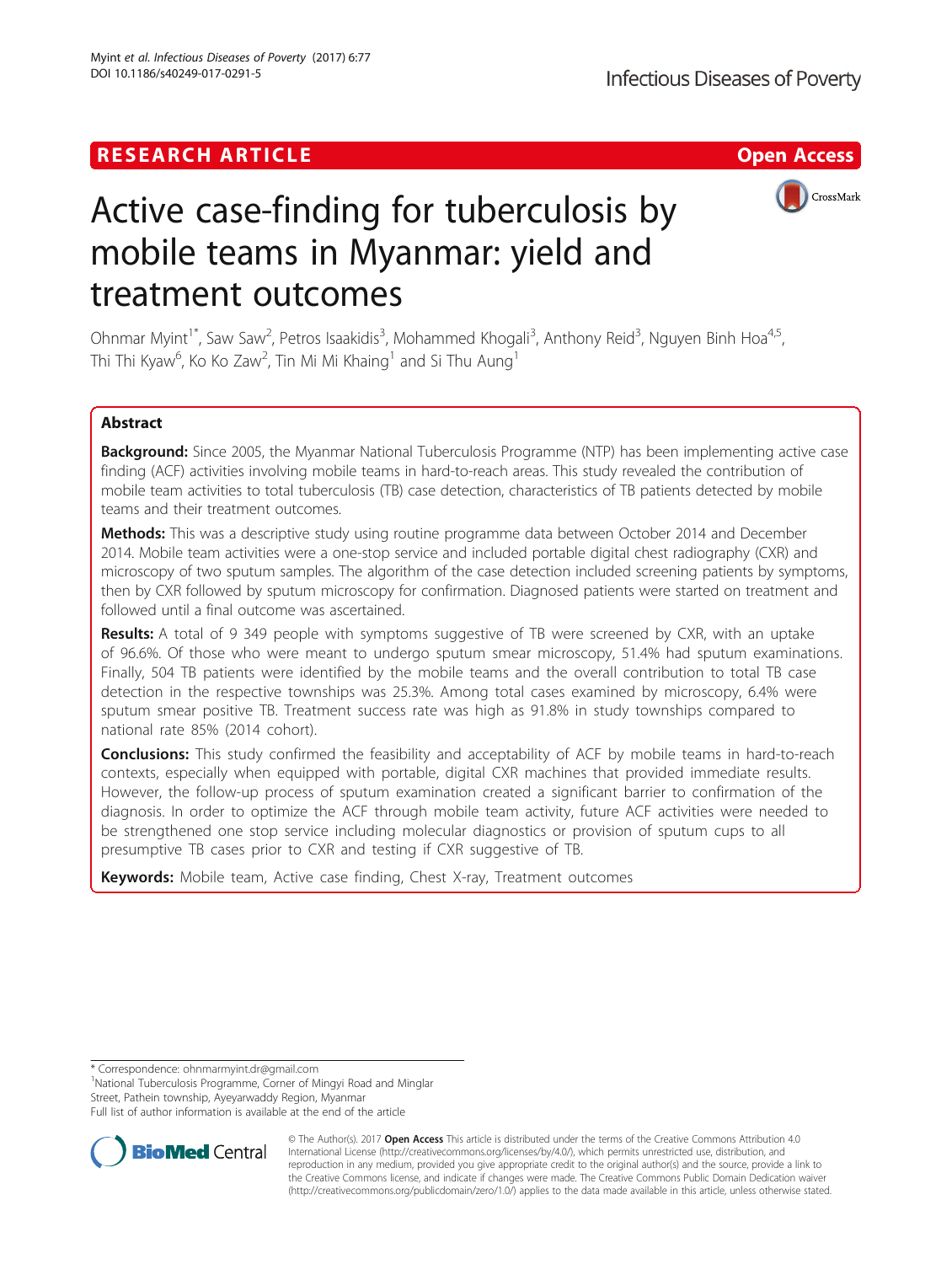# **RESEARCH ARTICLE Example 2018 12:30 The Contract of Contract ACCESS**



# Active case-finding for tuberculosis by mobile teams in Myanmar: yield and treatment outcomes

Ohnmar Myint<sup>1\*</sup>, Saw Saw<sup>2</sup>, Petros Isaakidis<sup>3</sup>, Mohammed Khogali<sup>3</sup>, Anthony Reid<sup>3</sup>, Nguyen Binh Hoa<sup>4,5</sup>, Thi Thi Kyaw $^6$ , Ko Ko Zaw $^2$ , Tin Mi Mi Khaing $^1$  and Si Thu Aung $^1$ 

# Abstract

Background: Since 2005, the Myanmar National Tuberculosis Programme (NTP) has been implementing active case finding (ACF) activities involving mobile teams in hard-to-reach areas. This study revealed the contribution of mobile team activities to total tuberculosis (TB) case detection, characteristics of TB patients detected by mobile teams and their treatment outcomes.

**Methods:** This was a descriptive study using routine programme data between October 2014 and December 2014. Mobile team activities were a one-stop service and included portable digital chest radiography (CXR) and microscopy of two sputum samples. The algorithm of the case detection included screening patients by symptoms, then by CXR followed by sputum microscopy for confirmation. Diagnosed patients were started on treatment and followed until a final outcome was ascertained.

Results: A total of 9 349 people with symptoms suggestive of TB were screened by CXR, with an uptake of 96.6%. Of those who were meant to undergo sputum smear microscopy, 51.4% had sputum examinations. Finally, 504 TB patients were identified by the mobile teams and the overall contribution to total TB case detection in the respective townships was 25.3%. Among total cases examined by microscopy, 6.4% were sputum smear positive TB. Treatment success rate was high as 91.8% in study townships compared to national rate 85% (2014 cohort).

**Conclusions:** This study confirmed the feasibility and acceptability of ACF by mobile teams in hard-to-reach contexts, especially when equipped with portable, digital CXR machines that provided immediate results. However, the follow-up process of sputum examination created a significant barrier to confirmation of the diagnosis. In order to optimize the ACF through mobile team activity, future ACF activities were needed to be strengthened one stop service including molecular diagnostics or provision of sputum cups to all presumptive TB cases prior to CXR and testing if CXR suggestive of TB.

Keywords: Mobile team, Active case finding, Chest X-ray, Treatment outcomes

\* Correspondence: [ohnmarmyint.dr@gmail.com](mailto:ohnmarmyint.dr@gmail.com) <sup>1</sup>

<sup>1</sup>National Tuberculosis Programme, Corner of Mingyi Road and Minglar Street, Pathein township, Ayeyarwaddy Region, Myanmar

Full list of author information is available at the end of the article



© The Author(s). 2017 **Open Access** This article is distributed under the terms of the Creative Commons Attribution 4.0 International License [\(http://creativecommons.org/licenses/by/4.0/](http://creativecommons.org/licenses/by/4.0/)), which permits unrestricted use, distribution, and reproduction in any medium, provided you give appropriate credit to the original author(s) and the source, provide a link to the Creative Commons license, and indicate if changes were made. The Creative Commons Public Domain Dedication waiver [\(http://creativecommons.org/publicdomain/zero/1.0/](http://creativecommons.org/publicdomain/zero/1.0/)) applies to the data made available in this article, unless otherwise stated.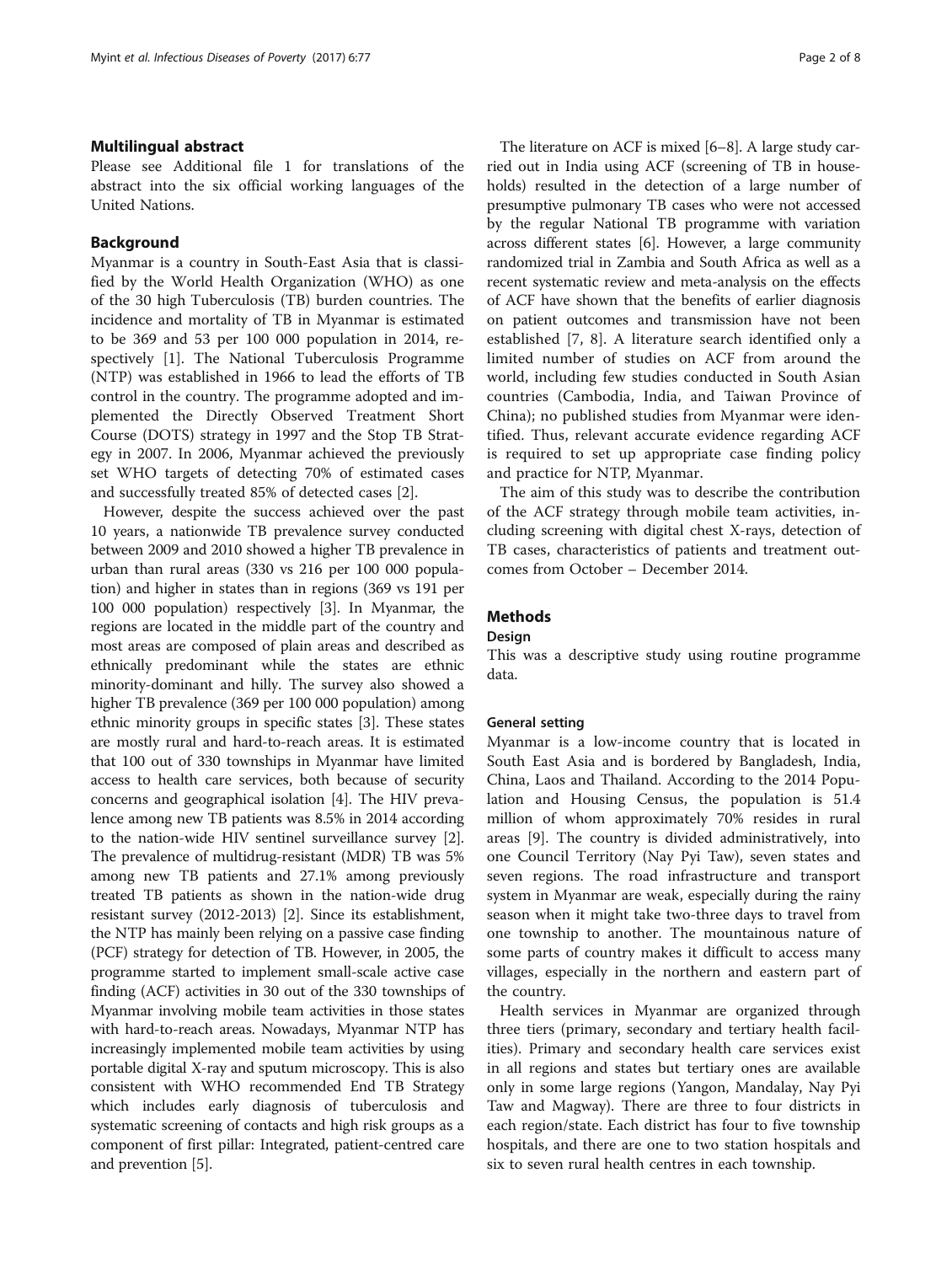## Multilingual abstract

Please see Additional file [1](#page-6-0) for translations of the abstract into the six official working languages of the United Nations.

# **Background**

Myanmar is a country in South-East Asia that is classified by the World Health Organization (WHO) as one of the 30 high Tuberculosis (TB) burden countries. The incidence and mortality of TB in Myanmar is estimated to be 369 and 53 per 100 000 population in 2014, respectively [\[1](#page-7-0)]. The National Tuberculosis Programme (NTP) was established in 1966 to lead the efforts of TB control in the country. The programme adopted and implemented the Directly Observed Treatment Short Course (DOTS) strategy in 1997 and the Stop TB Strategy in 2007. In 2006, Myanmar achieved the previously set WHO targets of detecting 70% of estimated cases and successfully treated 85% of detected cases [\[2](#page-7-0)].

However, despite the success achieved over the past 10 years, a nationwide TB prevalence survey conducted between 2009 and 2010 showed a higher TB prevalence in urban than rural areas (330 vs 216 per 100 000 population) and higher in states than in regions (369 vs 191 per 100 000 population) respectively [[3\]](#page-7-0). In Myanmar, the regions are located in the middle part of the country and most areas are composed of plain areas and described as ethnically predominant while the states are ethnic minority-dominant and hilly. The survey also showed a higher TB prevalence (369 per 100 000 population) among ethnic minority groups in specific states [\[3](#page-7-0)]. These states are mostly rural and hard-to-reach areas. It is estimated that 100 out of 330 townships in Myanmar have limited access to health care services, both because of security concerns and geographical isolation [\[4](#page-7-0)]. The HIV prevalence among new TB patients was 8.5% in 2014 according to the nation-wide HIV sentinel surveillance survey [[2](#page-7-0)]. The prevalence of multidrug-resistant (MDR) TB was 5% among new TB patients and 27.1% among previously treated TB patients as shown in the nation-wide drug resistant survey (2012-2013) [\[2\]](#page-7-0). Since its establishment, the NTP has mainly been relying on a passive case finding (PCF) strategy for detection of TB. However, in 2005, the programme started to implement small-scale active case finding (ACF) activities in 30 out of the 330 townships of Myanmar involving mobile team activities in those states with hard-to-reach areas. Nowadays, Myanmar NTP has increasingly implemented mobile team activities by using portable digital X-ray and sputum microscopy. This is also consistent with WHO recommended End TB Strategy which includes early diagnosis of tuberculosis and systematic screening of contacts and high risk groups as a component of first pillar: Integrated, patient-centred care and prevention [[5\]](#page-7-0).

The literature on ACF is mixed [[6](#page-7-0)–[8](#page-7-0)]. A large study carried out in India using ACF (screening of TB in households) resulted in the detection of a large number of presumptive pulmonary TB cases who were not accessed by the regular National TB programme with variation across different states [[6](#page-7-0)]. However, a large community randomized trial in Zambia and South Africa as well as a recent systematic review and meta-analysis on the effects of ACF have shown that the benefits of earlier diagnosis on patient outcomes and transmission have not been established [[7, 8](#page-7-0)]. A literature search identified only a limited number of studies on ACF from around the world, including few studies conducted in South Asian countries (Cambodia, India, and Taiwan Province of China); no published studies from Myanmar were identified. Thus, relevant accurate evidence regarding ACF is required to set up appropriate case finding policy and practice for NTP, Myanmar.

The aim of this study was to describe the contribution of the ACF strategy through mobile team activities, including screening with digital chest X-rays, detection of TB cases, characteristics of patients and treatment outcomes from October – December 2014.

# **Methods**

# Design

This was a descriptive study using routine programme data.

#### General setting

Myanmar is a low-income country that is located in South East Asia and is bordered by Bangladesh, India, China, Laos and Thailand. According to the 2014 Population and Housing Census, the population is 51.4 million of whom approximately 70% resides in rural areas [\[9](#page-7-0)]. The country is divided administratively, into one Council Territory (Nay Pyi Taw), seven states and seven regions. The road infrastructure and transport system in Myanmar are weak, especially during the rainy season when it might take two-three days to travel from one township to another. The mountainous nature of some parts of country makes it difficult to access many villages, especially in the northern and eastern part of the country.

Health services in Myanmar are organized through three tiers (primary, secondary and tertiary health facilities). Primary and secondary health care services exist in all regions and states but tertiary ones are available only in some large regions (Yangon, Mandalay, Nay Pyi Taw and Magway). There are three to four districts in each region/state. Each district has four to five township hospitals, and there are one to two station hospitals and six to seven rural health centres in each township.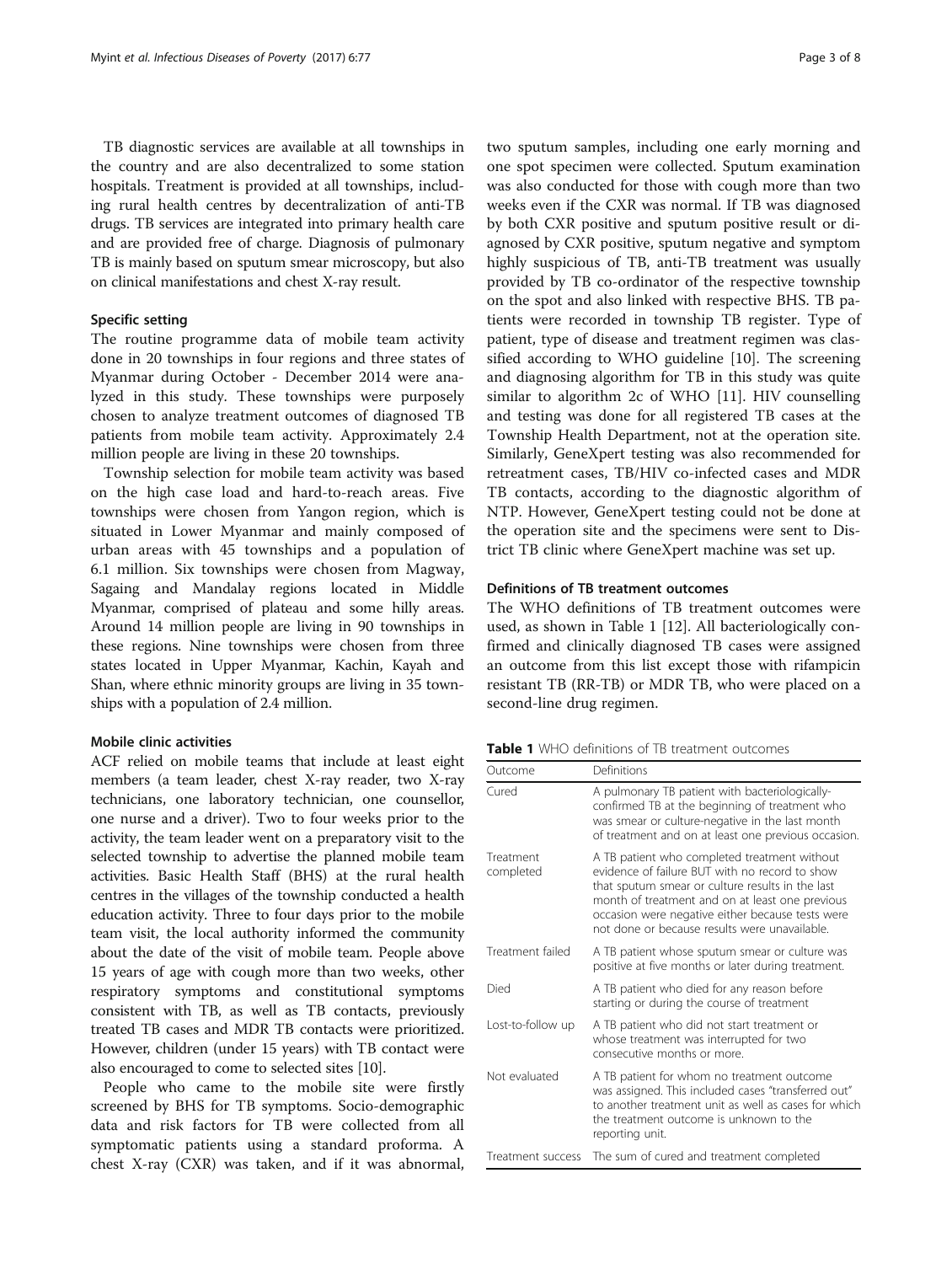TB diagnostic services are available at all townships in the country and are also decentralized to some station hospitals. Treatment is provided at all townships, including rural health centres by decentralization of anti-TB drugs. TB services are integrated into primary health care and are provided free of charge. Diagnosis of pulmonary TB is mainly based on sputum smear microscopy, but also on clinical manifestations and chest X-ray result.

# Specific setting

The routine programme data of mobile team activity done in 20 townships in four regions and three states of Myanmar during October - December 2014 were analyzed in this study. These townships were purposely chosen to analyze treatment outcomes of diagnosed TB patients from mobile team activity. Approximately 2.4 million people are living in these 20 townships.

Township selection for mobile team activity was based on the high case load and hard-to-reach areas. Five townships were chosen from Yangon region, which is situated in Lower Myanmar and mainly composed of urban areas with 45 townships and a population of 6.1 million. Six townships were chosen from Magway, Sagaing and Mandalay regions located in Middle Myanmar, comprised of plateau and some hilly areas. Around 14 million people are living in 90 townships in these regions. Nine townships were chosen from three states located in Upper Myanmar, Kachin, Kayah and Shan, where ethnic minority groups are living in 35 townships with a population of 2.4 million.

# Mobile clinic activities

ACF relied on mobile teams that include at least eight members (a team leader, chest X-ray reader, two X-ray technicians, one laboratory technician, one counsellor, one nurse and a driver). Two to four weeks prior to the activity, the team leader went on a preparatory visit to the selected township to advertise the planned mobile team activities. Basic Health Staff (BHS) at the rural health centres in the villages of the township conducted a health education activity. Three to four days prior to the mobile team visit, the local authority informed the community about the date of the visit of mobile team. People above 15 years of age with cough more than two weeks, other respiratory symptoms and constitutional symptoms consistent with TB, as well as TB contacts, previously treated TB cases and MDR TB contacts were prioritized. However, children (under 15 years) with TB contact were also encouraged to come to selected sites [[10](#page-7-0)].

People who came to the mobile site were firstly screened by BHS for TB symptoms. Socio-demographic data and risk factors for TB were collected from all symptomatic patients using a standard proforma. A chest X-ray (CXR) was taken, and if it was abnormal, two sputum samples, including one early morning and one spot specimen were collected. Sputum examination was also conducted for those with cough more than two weeks even if the CXR was normal. If TB was diagnosed by both CXR positive and sputum positive result or diagnosed by CXR positive, sputum negative and symptom highly suspicious of TB, anti-TB treatment was usually provided by TB co-ordinator of the respective township on the spot and also linked with respective BHS. TB patients were recorded in township TB register. Type of patient, type of disease and treatment regimen was classified according to WHO guideline [\[10](#page-7-0)]. The screening and diagnosing algorithm for TB in this study was quite similar to algorithm 2c of WHO [[11\]](#page-7-0). HIV counselling and testing was done for all registered TB cases at the Township Health Department, not at the operation site. Similarly, GeneXpert testing was also recommended for retreatment cases, TB/HIV co-infected cases and MDR TB contacts, according to the diagnostic algorithm of NTP. However, GeneXpert testing could not be done at the operation site and the specimens were sent to District TB clinic where GeneXpert machine was set up.

## Definitions of TB treatment outcomes

The WHO definitions of TB treatment outcomes were used, as shown in Table 1 [\[12](#page-7-0)]. All bacteriologically confirmed and clinically diagnosed TB cases were assigned an outcome from this list except those with rifampicin resistant TB (RR-TB) or MDR TB, who were placed on a second-line drug regimen.

Table 1 WHO definitions of TB treatment outcomes

| Outcome                | Definitions                                                                                                                                                                                                                                                                                                |
|------------------------|------------------------------------------------------------------------------------------------------------------------------------------------------------------------------------------------------------------------------------------------------------------------------------------------------------|
| Cured                  | A pulmonary TB patient with bacteriologically-<br>confirmed TB at the beginning of treatment who<br>was smear or culture-negative in the last month<br>of treatment and on at least one previous occasion.                                                                                                 |
| Treatment<br>completed | A TB patient who completed treatment without<br>evidence of failure BUT with no record to show<br>that sputum smear or culture results in the last<br>month of treatment and on at least one previous<br>occasion were negative either because tests were<br>not done or because results were unavailable. |
| Treatment failed       | A TB patient whose sputum smear or culture was<br>positive at five months or later during treatment.                                                                                                                                                                                                       |
| Died                   | A TB patient who died for any reason before<br>starting or during the course of treatment                                                                                                                                                                                                                  |
| Lost-to-follow up      | A TB patient who did not start treatment or<br>whose treatment was interrupted for two<br>consecutive months or more                                                                                                                                                                                       |
| Not evaluated          | A TB patient for whom no treatment outcome<br>was assigned. This included cases "transferred out"<br>to another treatment unit as well as cases for which<br>the treatment outcome is unknown to the<br>reporting unit.                                                                                    |
| Treatment success      | The sum of cured and treatment completed                                                                                                                                                                                                                                                                   |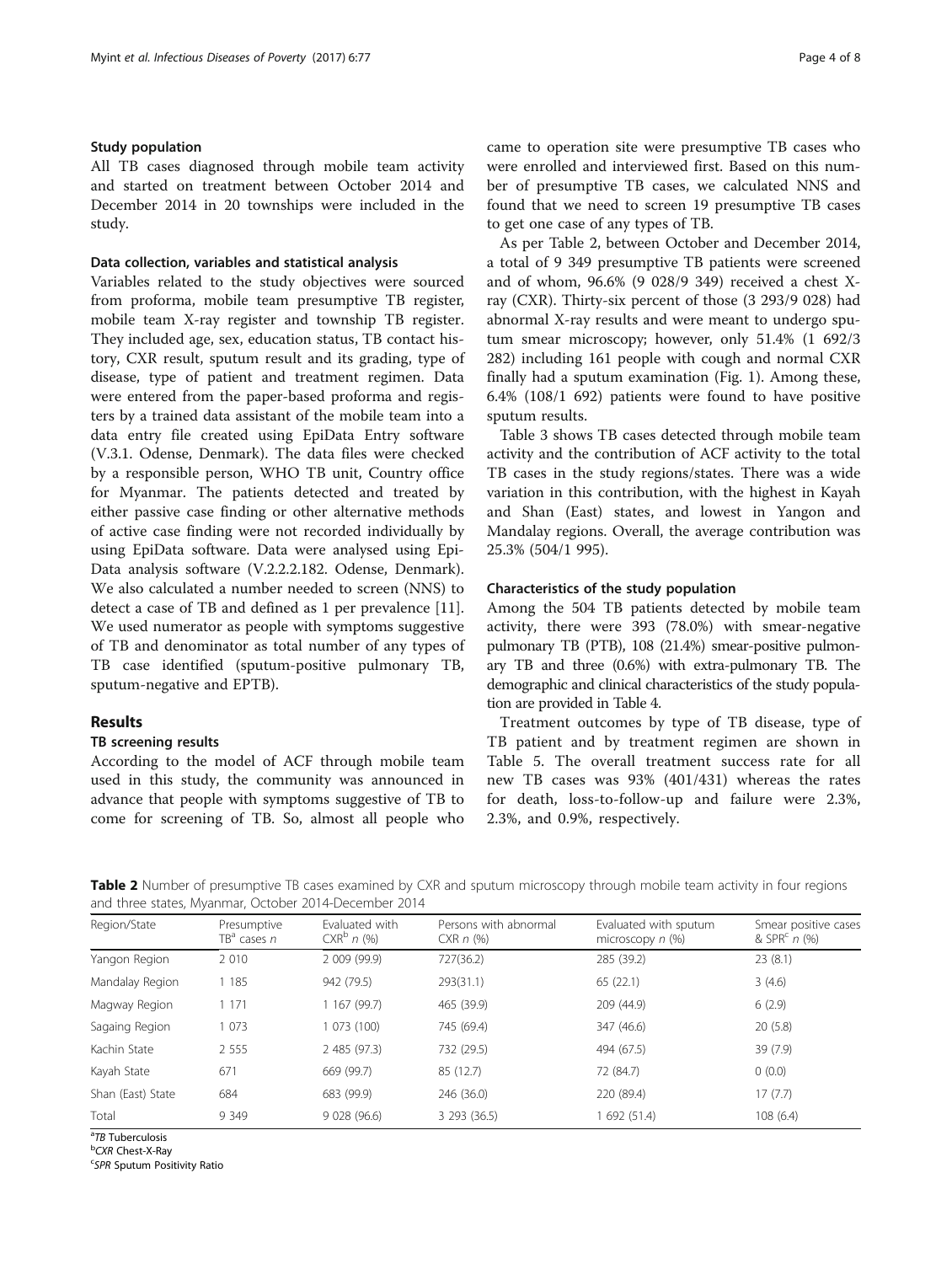## Study population

All TB cases diagnosed through mobile team activity and started on treatment between October 2014 and December 2014 in 20 townships were included in the study.

# Data collection, variables and statistical analysis

Variables related to the study objectives were sourced from proforma, mobile team presumptive TB register, mobile team X-ray register and township TB register. They included age, sex, education status, TB contact history, CXR result, sputum result and its grading, type of disease, type of patient and treatment regimen. Data were entered from the paper-based proforma and registers by a trained data assistant of the mobile team into a data entry file created using EpiData Entry software (V.3.1. Odense, Denmark). The data files were checked by a responsible person, WHO TB unit, Country office for Myanmar. The patients detected and treated by either passive case finding or other alternative methods of active case finding were not recorded individually by using EpiData software. Data were analysed using Epi-Data analysis software (V.2.2.2.182. Odense, Denmark). We also calculated a number needed to screen (NNS) to detect a case of TB and defined as 1 per prevalence [\[11](#page-7-0)]. We used numerator as people with symptoms suggestive of TB and denominator as total number of any types of TB case identified (sputum-positive pulmonary TB, sputum-negative and EPTB).

# Results

# TB screening results

According to the model of ACF through mobile team used in this study, the community was announced in advance that people with symptoms suggestive of TB to come for screening of TB. So, almost all people who came to operation site were presumptive TB cases who were enrolled and interviewed first. Based on this number of presumptive TB cases, we calculated NNS and found that we need to screen 19 presumptive TB cases to get one case of any types of TB.

As per Table 2, between October and December 2014, a total of 9 349 presumptive TB patients were screened and of whom, 96.6% (9 028/9 349) received a chest Xray (CXR). Thirty-six percent of those (3 293/9 028) had abnormal X-ray results and were meant to undergo sputum smear microscopy; however, only 51.4% (1 692/3 282) including 161 people with cough and normal CXR finally had a sputum examination (Fig. [1\)](#page-4-0). Among these, 6.4% (108/1 692) patients were found to have positive sputum results.

Table [3](#page-4-0) shows TB cases detected through mobile team activity and the contribution of ACF activity to the total TB cases in the study regions/states. There was a wide variation in this contribution, with the highest in Kayah and Shan (East) states, and lowest in Yangon and Mandalay regions. Overall, the average contribution was 25.3% (504/1 995).

#### Characteristics of the study population

Among the 504 TB patients detected by mobile team activity, there were 393 (78.0%) with smear-negative pulmonary TB (PTB), 108 (21.4%) smear-positive pulmonary TB and three (0.6%) with extra-pulmonary TB. The demographic and clinical characteristics of the study population are provided in Table [4.](#page-5-0)

Treatment outcomes by type of TB disease, type of TB patient and by treatment regimen are shown in Table [5.](#page-6-0) The overall treatment success rate for all new TB cases was 93% (401/431) whereas the rates for death, loss-to-follow-up and failure were 2.3%, 2.3%, and 0.9%, respectively.

Table 2 Number of presumptive TB cases examined by CXR and sputum microscopy through mobile team activity in four regions and three states, Myanmar, October 2014-December 2014

| Region/State      | Presumptive<br>$TBa$ cases n | Fvaluated with<br>$CXR^b$ n $(\%)$ | Persons with abnormal<br>$CXR \, n \, (%)$ | Evaluated with sputum<br>microscopy $n$ (%) | Smear positive cases<br>& $SPR^c n$ (%) |
|-------------------|------------------------------|------------------------------------|--------------------------------------------|---------------------------------------------|-----------------------------------------|
| Yangon Region     | 2 0 1 0                      | 2 009 (99.9)                       | 727(36.2)                                  | 285 (39.2)                                  | 23(8.1)                                 |
| Mandalay Region   | 1 1 8 5                      | 942 (79.5)                         | 293(31.1)                                  | 65(22.1)                                    | 3(4.6)                                  |
| Magway Region     | 1 167 (99.7)<br>1 1 7 1      |                                    | 465 (39.9)                                 | 209 (44.9)                                  | 6(2.9)                                  |
| Sagaing Region    | 1073                         | 1 073 (100)                        | 745 (69.4)                                 | 347 (46.6)                                  | 20(5.8)                                 |
| Kachin State      | 2 5 5 5                      | 2 485 (97.3)                       | 732 (29.5)                                 | 494 (67.5)                                  | 39(7.9)                                 |
| Kayah State       | 671                          | 669 (99.7)                         | 85 (12.7)                                  | 72 (84.7)                                   | 0(0.0)                                  |
| Shan (East) State | 684                          | 683 (99.9)                         | 246 (36.0)                                 | 220 (89.4)                                  | 17(7.7)                                 |
| Total             | 9 3 4 9                      | 9 028 (96.6)                       | 3 293 (36.5)                               | 692 (51.4)                                  | 108(6.4)                                |

<sup>a</sup>TB Tuberculosis<br><sup>b</sup>CYP Chost Y Po

**b**CXR Chest-X-Ray

<sup>c</sup>SPR Sputum Positivity Ratio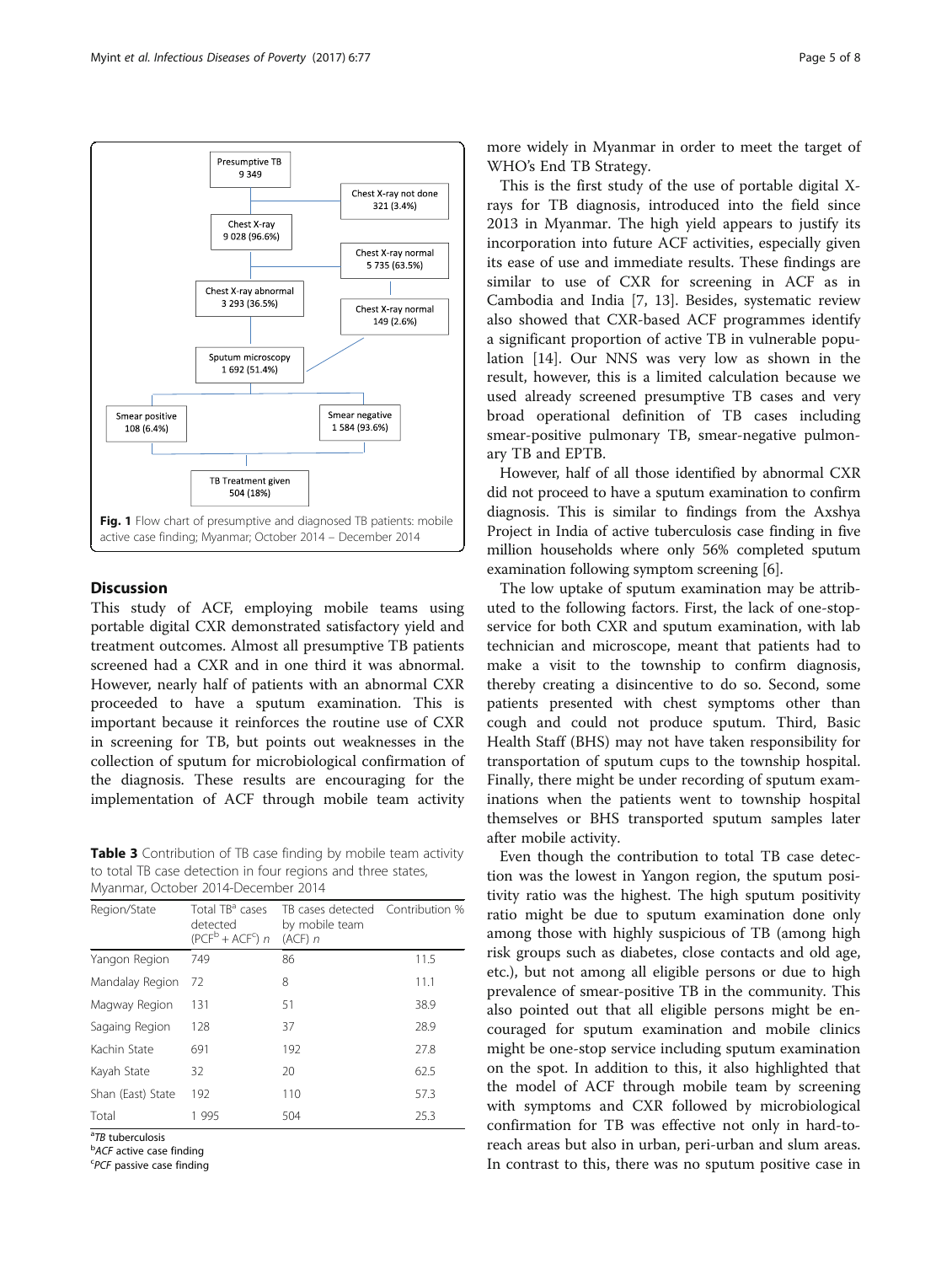<span id="page-4-0"></span>

# **Discussion**

This study of ACF, employing mobile teams using portable digital CXR demonstrated satisfactory yield and treatment outcomes. Almost all presumptive TB patients screened had a CXR and in one third it was abnormal. However, nearly half of patients with an abnormal CXR proceeded to have a sputum examination. This is important because it reinforces the routine use of CXR in screening for TB, but points out weaknesses in the collection of sputum for microbiological confirmation of the diagnosis. These results are encouraging for the implementation of ACF through mobile team activity

Table 3 Contribution of TB case finding by mobile team activity to total TB case detection in four regions and three states, Myanmar, October 2014-December 2014

| Region/State      | Total TB <sup>a</sup> cases     | TB cases detected Contribution % |      |  |
|-------------------|---------------------------------|----------------------------------|------|--|
|                   | detected<br>$(PCF^b + ACF^c) n$ | by mobile team<br>$(ACF)$ n      |      |  |
| Yangon Region     | 749                             | 86                               | 11.5 |  |
| Mandalay Region   | 72                              | 8                                | 11.1 |  |
| Magway Region     | 131                             | 51                               | 38.9 |  |
| Sagaing Region    | 128                             | 37                               | 28.9 |  |
| Kachin State      | 691                             | 192                              | 27.8 |  |
| Kayah State       | 32                              | 20                               | 62.5 |  |
| Shan (East) State | 192                             | 110                              | 57.3 |  |
| Total             | 1995                            | 504                              | 25.3 |  |

<sup>a</sup>TB tuberculosis <sup>a</sup>TB tuberculosis<br><sup>b</sup>ACE active case

<sup>B</sup>ACF active case finding<br><sup>c</sup>PCE passive case finding

<sup>c</sup>PCF passive case finding

more widely in Myanmar in order to meet the target of WHO's End TB Strategy.

This is the first study of the use of portable digital Xrays for TB diagnosis, introduced into the field since 2013 in Myanmar. The high yield appears to justify its incorporation into future ACF activities, especially given its ease of use and immediate results. These findings are similar to use of CXR for screening in ACF as in Cambodia and India [\[7](#page-7-0), [13](#page-7-0)]. Besides, systematic review also showed that CXR-based ACF programmes identify a significant proportion of active TB in vulnerable population [\[14](#page-7-0)]. Our NNS was very low as shown in the result, however, this is a limited calculation because we used already screened presumptive TB cases and very broad operational definition of TB cases including smear-positive pulmonary TB, smear-negative pulmonary TB and EPTB.

However, half of all those identified by abnormal CXR did not proceed to have a sputum examination to confirm diagnosis. This is similar to findings from the Axshya Project in India of active tuberculosis case finding in five million households where only 56% completed sputum examination following symptom screening [\[6\]](#page-7-0).

The low uptake of sputum examination may be attributed to the following factors. First, the lack of one-stopservice for both CXR and sputum examination, with lab technician and microscope, meant that patients had to make a visit to the township to confirm diagnosis, thereby creating a disincentive to do so. Second, some patients presented with chest symptoms other than cough and could not produce sputum. Third, Basic Health Staff (BHS) may not have taken responsibility for transportation of sputum cups to the township hospital. Finally, there might be under recording of sputum examinations when the patients went to township hospital themselves or BHS transported sputum samples later after mobile activity.

Even though the contribution to total TB case detection was the lowest in Yangon region, the sputum positivity ratio was the highest. The high sputum positivity ratio might be due to sputum examination done only among those with highly suspicious of TB (among high risk groups such as diabetes, close contacts and old age, etc.), but not among all eligible persons or due to high prevalence of smear-positive TB in the community. This also pointed out that all eligible persons might be encouraged for sputum examination and mobile clinics might be one-stop service including sputum examination on the spot. In addition to this, it also highlighted that the model of ACF through mobile team by screening with symptoms and CXR followed by microbiological confirmation for TB was effective not only in hard-toreach areas but also in urban, peri-urban and slum areas. In contrast to this, there was no sputum positive case in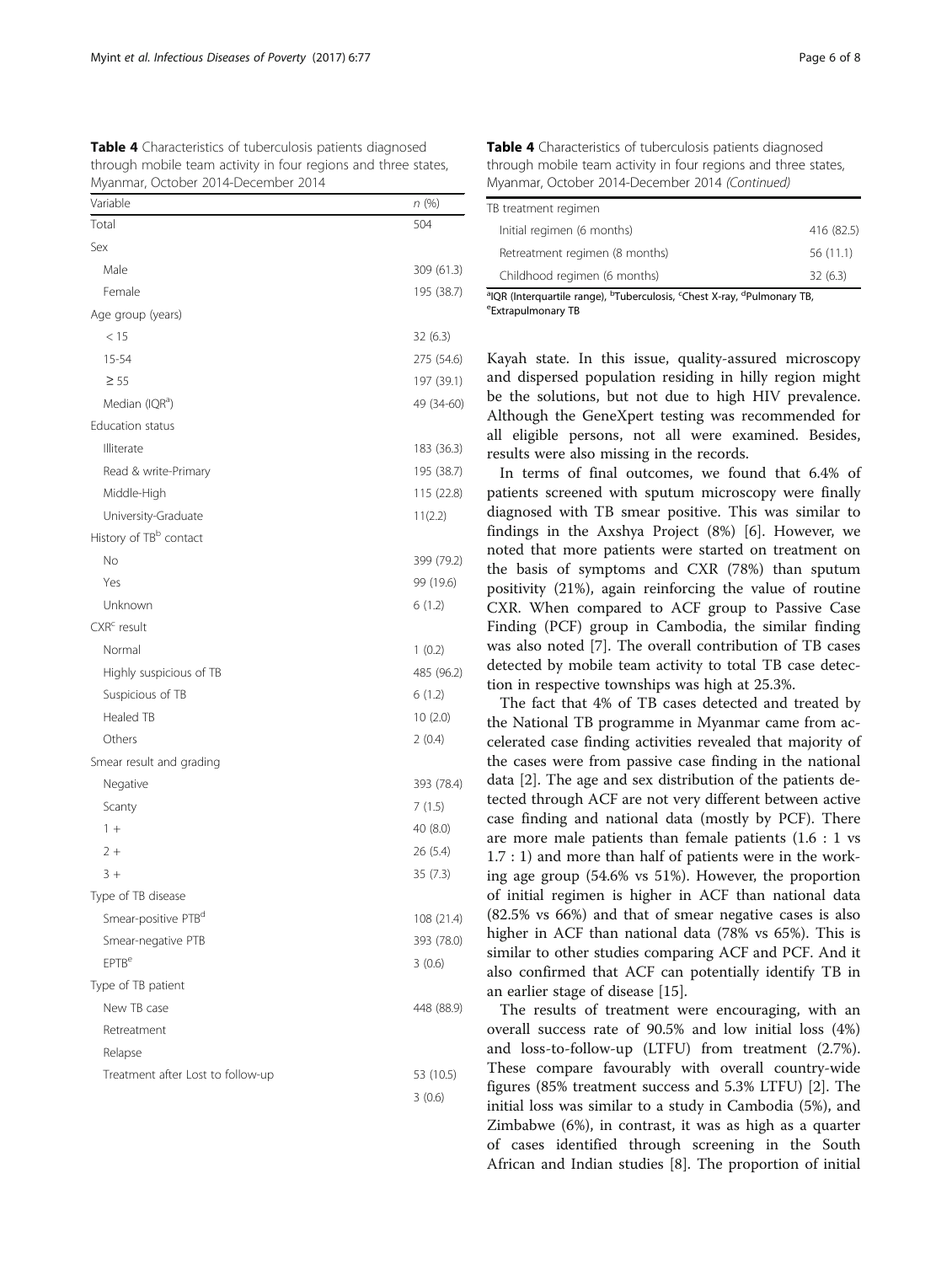<span id="page-5-0"></span>Table 4 Characteristics of tuberculosis patients diagnosed through mobile team activity in four regions and three states, Myanmar, October 2014-December 2014

| Variable                           | n (%)      |
|------------------------------------|------------|
| Total                              | 504        |
| Sex                                |            |
| Male                               | 309 (61.3) |
| Female                             | 195 (38.7) |
| Age group (years)                  |            |
| < 15                               | 32(6.3)    |
| 15-54                              | 275 (54.6) |
| $\geq 55$                          | 197 (39.1) |
| Median (IQR <sup>a</sup> )         | 49 (34-60) |
| Education status                   |            |
| Illiterate                         | 183 (36.3) |
| Read & write-Primary               | 195 (38.7) |
| Middle-High                        | 115 (22.8) |
| University-Graduate                | 11(2.2)    |
| History of TB <sup>b</sup> contact |            |
| No                                 | 399 (79.2) |
| Yes                                | 99 (19.6)  |
| Unknown                            | 6(1.2)     |
| CXR <sup>c</sup> result            |            |
| Normal                             | 1(0.2)     |
| Highly suspicious of TB            | 485 (96.2) |
| Suspicious of TB                   | 6(1.2)     |
| Healed TB                          | 10(2.0)    |
| Others                             | 2(0.4)     |
| Smear result and grading           |            |
| Negative                           | 393 (78.4) |
| Scanty                             | 7(1.5)     |
| $1 +$                              | 40 (8.0)   |
| $2+$                               | 26(5.4)    |
| $3+$                               | 35(7.3)    |
| Type of TB disease                 |            |
| Smear-positive PTBd                | 108 (21.4) |
| Smear-negative PTB                 | 393 (78.0) |
| <b>EPTB<sup>e</sup></b>            | 3(0.6)     |
| Type of TB patient                 |            |
| New TB case                        | 448 (88.9) |
| Retreatment                        |            |
| Relapse                            |            |
| Treatment after Lost to follow-up  | 53 (10.5)  |
|                                    | 3(0.6)     |

Table 4 Characteristics of tuberculosis patients diagnosed through mobile team activity in four regions and three states, Myanmar, October 2014-December 2014 (Continued)

| TB treatment regimen                                                                                               |            |  |  |
|--------------------------------------------------------------------------------------------------------------------|------------|--|--|
| Initial regimen (6 months)                                                                                         | 416 (82.5) |  |  |
| Retreatment regimen (8 months)                                                                                     | 56 (11.1)  |  |  |
| Childhood regimen (6 months)                                                                                       | 32(6.3)    |  |  |
| <sup>a</sup> OR (Interguartile range) <sup>b</sup> Tuberculosis <sup>c</sup> Chest Y-ray <sup>d</sup> Pulmonany TR |            |  |  |

<sup>a</sup>IQR (Interquartile range), <sup>b</sup>Tuberculosis, <sup>c</sup>Chest X-ray, <sup>d</sup>Pulmonary TB,<br><sup>e</sup>Extranulmonary TB Extrapulmonary TB

Kayah state. In this issue, quality-assured microscopy and dispersed population residing in hilly region might be the solutions, but not due to high HIV prevalence. Although the GeneXpert testing was recommended for all eligible persons, not all were examined. Besides, results were also missing in the records.

In terms of final outcomes, we found that 6.4% of patients screened with sputum microscopy were finally diagnosed with TB smear positive. This was similar to findings in the Axshya Project (8%) [[6\]](#page-7-0). However, we noted that more patients were started on treatment on the basis of symptoms and CXR (78%) than sputum positivity (21%), again reinforcing the value of routine CXR. When compared to ACF group to Passive Case Finding (PCF) group in Cambodia, the similar finding was also noted [\[7](#page-7-0)]. The overall contribution of TB cases detected by mobile team activity to total TB case detection in respective townships was high at 25.3%.

The fact that 4% of TB cases detected and treated by the National TB programme in Myanmar came from accelerated case finding activities revealed that majority of the cases were from passive case finding in the national data [\[2](#page-7-0)]. The age and sex distribution of the patients detected through ACF are not very different between active case finding and national data (mostly by PCF). There are more male patients than female patients (1.6 : 1 vs 1.7 : 1) and more than half of patients were in the working age group (54.6% vs 51%). However, the proportion of initial regimen is higher in ACF than national data (82.5% vs 66%) and that of smear negative cases is also higher in ACF than national data (78% vs 65%). This is similar to other studies comparing ACF and PCF. And it also confirmed that ACF can potentially identify TB in an earlier stage of disease [\[15\]](#page-7-0).

The results of treatment were encouraging, with an overall success rate of 90.5% and low initial loss (4%) and loss-to-follow-up (LTFU) from treatment (2.7%). These compare favourably with overall country-wide figures (85% treatment success and 5.3% LTFU) [[2\]](#page-7-0). The initial loss was similar to a study in Cambodia (5%), and Zimbabwe (6%), in contrast, it was as high as a quarter of cases identified through screening in the South African and Indian studies [\[8](#page-7-0)]. The proportion of initial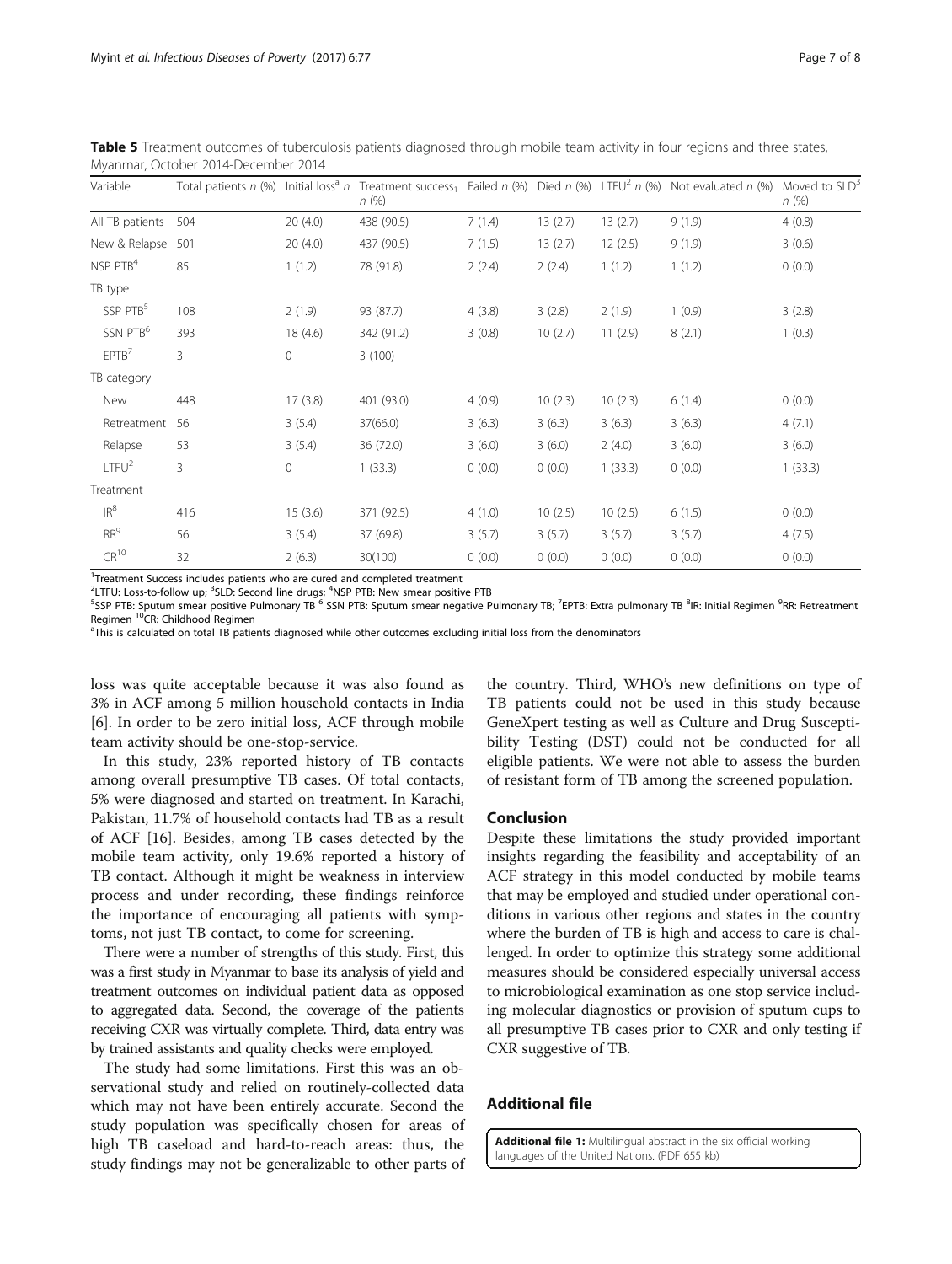| Variable               |     |                | n(%)       |        |         |         | Total patients n (%) Initial loss <sup>a</sup> n Treatment success <sub>1</sub> Failed n (%) Died n (%) LTFU <sup>2</sup> n (%) Not evaluated n (%) Moved to SLD <sup>3</sup> | n(%)    |
|------------------------|-----|----------------|------------|--------|---------|---------|-------------------------------------------------------------------------------------------------------------------------------------------------------------------------------|---------|
| All TB patients        | 504 | 20(4.0)        | 438 (90.5) | 7(1.4) | 13(2.7) | 13(2.7) | 9(1.9)                                                                                                                                                                        | 4(0.8)  |
| New & Relapse          | 501 | 20(4.0)        | 437 (90.5) | 7(1.5) | 13(2.7) | 12(2.5) | 9(1.9)                                                                                                                                                                        | 3(0.6)  |
| $NSP$ PTB <sup>4</sup> | 85  | 1(1.2)         | 78 (91.8)  | 2(2.4) | 2(2.4)  | 1(1.2)  | 1(1.2)                                                                                                                                                                        | 0(0.0)  |
| TB type                |     |                |            |        |         |         |                                                                                                                                                                               |         |
| SSP PTB <sup>5</sup>   | 108 | 2(1.9)         | 93 (87.7)  | 4(3.8) | 3(2.8)  | 2(1.9)  | 1(0.9)                                                                                                                                                                        | 3(2.8)  |
| SSN PTB <sup>6</sup>   | 393 | 18(4.6)        | 342 (91.2) | 3(0.8) | 10(2.7) | 11(2.9) | 8(2.1)                                                                                                                                                                        | 1(0.3)  |
| EPTB <sup>7</sup>      | 3   | $\overline{0}$ | 3(100)     |        |         |         |                                                                                                                                                                               |         |
| TB category            |     |                |            |        |         |         |                                                                                                                                                                               |         |
| New                    | 448 | 17(3.8)        | 401 (93.0) | 4(0.9) | 10(2.3) | 10(2.3) | 6(1.4)                                                                                                                                                                        | 0(0.0)  |
| Retreatment            | 56  | 3(5.4)         | 37(66.0)   | 3(6.3) | 3(6.3)  | 3(6.3)  | 3(6.3)                                                                                                                                                                        | 4(7.1)  |
| Relapse                | 53  | 3(5.4)         | 36 (72.0)  | 3(6.0) | 3(6.0)  | 2(4.0)  | 3(6.0)                                                                                                                                                                        | 3(6.0)  |
| LTFU <sup>2</sup>      | 3   | $\mathbf{0}$   | 1(33.3)    | (0.0)  | 0(0.0)  | 1(33.3) | (0.0)                                                                                                                                                                         | 1(33.3) |
| Treatment              |     |                |            |        |         |         |                                                                                                                                                                               |         |
| IR <sup>8</sup>        | 416 | 15(3.6)        | 371 (92.5) | 4(1.0) | 10(2.5) | 10(2.5) | 6(1.5)                                                                                                                                                                        | 0(0.0)  |
| RR <sup>9</sup>        | 56  | 3(5.4)         | 37 (69.8)  | 3(5.7) | 3(5.7)  | 3(5.7)  | 3(5.7)                                                                                                                                                                        | 4(7.5)  |
| $CR^{10}$              | 32  | 2(6.3)         | 30(100)    | 0(0.0) | 0(0.0)  | 0(0.0)  | 0(0.0)                                                                                                                                                                        | 0(0.0)  |

<span id="page-6-0"></span>Table 5 Treatment outcomes of tuberculosis patients diagnosed through mobile team activity in four regions and three states, Myanmar, October 2014-December 2014

<sup>1</sup>Treatment Success includes patients who are cured and completed treatment

<sup>2</sup>LTFU: Loss-to-follow up; <sup>3</sup>SLD: Second line drugs; <sup>4</sup>NSP PTB: New smear positive PTB<br><sup>5</sup>SSR PTB: Sputum smear positive Pulmonary TB <sup>6</sup> SSN PTB: Sputum smear pegative P

SSP PTB: Sputum smear positive Pulmonary TB <sup>6</sup> SSN PTB: Sputum smear negative Pulmonary TB; <sup>7</sup>EPTB: Extra pulmonary TB <sup>8</sup>IR: lnitial Regimen <sup>9</sup>RR: Retreatment Regimen <sup>10</sup>CR: Childhood Regimen

<sup>a</sup>This is calculated on total TB patients diagnosed while other outcomes excluding initial loss from the denominators

loss was quite acceptable because it was also found as 3% in ACF among 5 million household contacts in India [[6\]](#page-7-0). In order to be zero initial loss, ACF through mobile team activity should be one-stop-service.

In this study, 23% reported history of TB contacts among overall presumptive TB cases. Of total contacts, 5% were diagnosed and started on treatment. In Karachi, Pakistan, 11.7% of household contacts had TB as a result of ACF [\[16\]](#page-7-0). Besides, among TB cases detected by the mobile team activity, only 19.6% reported a history of TB contact. Although it might be weakness in interview process and under recording, these findings reinforce the importance of encouraging all patients with symptoms, not just TB contact, to come for screening.

There were a number of strengths of this study. First, this was a first study in Myanmar to base its analysis of yield and treatment outcomes on individual patient data as opposed to aggregated data. Second, the coverage of the patients receiving CXR was virtually complete. Third, data entry was by trained assistants and quality checks were employed.

The study had some limitations. First this was an observational study and relied on routinely-collected data which may not have been entirely accurate. Second the study population was specifically chosen for areas of high TB caseload and hard-to-reach areas: thus, the study findings may not be generalizable to other parts of the country. Third, WHO's new definitions on type of TB patients could not be used in this study because GeneXpert testing as well as Culture and Drug Susceptibility Testing (DST) could not be conducted for all eligible patients. We were not able to assess the burden of resistant form of TB among the screened population.

#### Conclusion

Despite these limitations the study provided important insights regarding the feasibility and acceptability of an ACF strategy in this model conducted by mobile teams that may be employed and studied under operational conditions in various other regions and states in the country where the burden of TB is high and access to care is challenged. In order to optimize this strategy some additional measures should be considered especially universal access to microbiological examination as one stop service including molecular diagnostics or provision of sputum cups to all presumptive TB cases prior to CXR and only testing if CXR suggestive of TB.

# Additional file

[Additional file 1:](dx.doi.org/10.1186/s40249-017-0291-5) Multilingual abstract in the six official working languages of the United Nations. (PDF 655 kb)